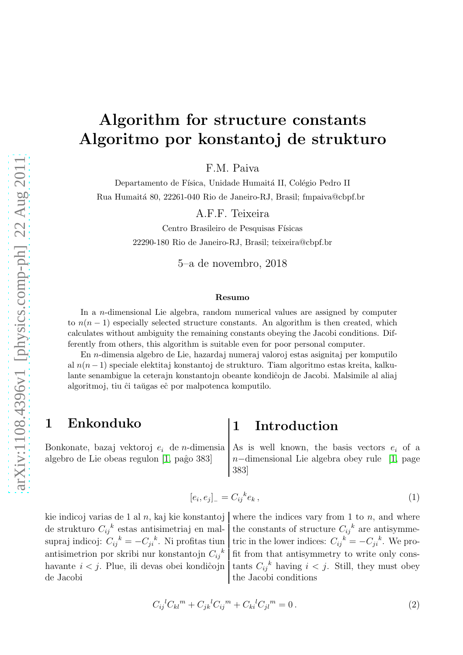# Algorithm for structure constants Algoritmo por konstantoj de strukturo

F.M. Paiva

Departamento de Física, Unidade Humaitá II, Colégio Pedro II Rua Humait´a 80, 22261-040 Rio de Janeiro-RJ, Brasil; fmpaiva@cbpf.br

A.F.F. Teixeira

Centro Brasileiro de Pesquisas Físicas 22290-180 Rio de Janeiro-RJ, Brasil; teixeira@cbpf.br

5–a de novembro, 2018

### Resumo

In a n-dimensional Lie algebra, random numerical values are assigned by computer to  $n(n-1)$  especially selected structure constants. An algorithm is then created, which calculates without ambiguity the remaining constants obeying the Jacobi conditions. Differently from others, this algorithm is suitable even for poor personal computer.

En n-dimensia algebro de Lie, hazardaj numeraj valoroj estas asignitaj per komputilo al n(n − 1) speciale elektitaj konstantoj de strukturo. Tiam algoritmo estas kreita, kalkulante senambigue la ceterajn konstantojn obeante kondiĉojn de Jacobi. Malsimile al aliaj algoritmoj, tiu ĉi taŭgas eĉ por malpotenca komputilo.

## 1 Enkonduko  $\vert$  1 Introduction

Bonkonate, bazaj vektoroj  $e_i$  de n-dimensia As is well known, the basis vectors  $e_i$  of a algebro de Lie obeas regulon [\[1,](#page-5-0) paĝo 383]  $n-$ dimensional Lie algebra obey rule [1, page 383]

$$
[e_i, e_j]_- = C_{ij}{}^k e_k \,, \tag{1}
$$

de strukturo  $C_{ij}{}^k$ supraj indicoj:  $C_{ij}{}^k = -C_{ji}{}^k$ antisimetrion por skribi nur konstantojn  $C_{ij}{}^k$ havante  $i < j$ . Plue, ili devas obei kondiĉojn de Jacobi  $\qquad$  the Jacobi conditions

kie indicoj varias de 1 al n, kaj kie konstantoj where the indices vary from 1 to n, and where estas antisimetriaj en mal- the constants of structure  $C_{ij}^k$  are antisymme-. Ni profitas tiun tric in the lower indices:  $C_{ij}{}^k = -C_{ji}{}^k$ . We profit from that antisymmetry to write only cons-<sup>k</sup> having  $i < j$ . Still, they must obey

$$
C_{ij}{}^{l}C_{kl}{}^{m} + C_{jk}{}^{l}C_{ij}{}^{m} + C_{ki}{}^{l}C_{jl}{}^{m} = 0.
$$
 (2)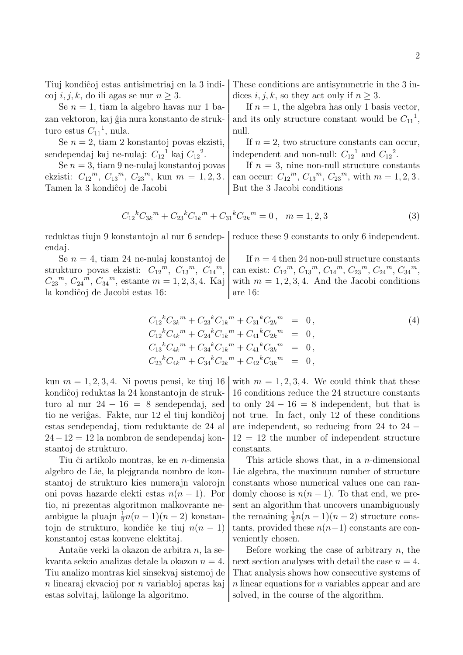coj *i*, *j*, *k*, do ili agas se nur  $n \geq 3$ . dices *i*, *j*, *k*, so they act only if  $n \geq 3$ .

turo estus  $C_{11}^1$ , nula. | null.

sendependaj kaj ne-nulaj:  $C_{12}{}^1$  kaj  $C_{12}{}^2$ 

ekzisti:  $C_{12}^m$ ,  $C_{13}^m$ ,  $C_{23}^m$ , kun  $m = 1, 2, 3$ . can occur:  $C_{12}$ Tamen la 3 kondiĉoj de Jacobi **But the 3 Jacobi conditions** 

Tiuj kondiĉoj estas antisimetriaj en la 3 indi- These conditions are antisymmetric in the 3 in-

Se  $n = 1$ , tiam la algebro havas nur 1 ba- If  $n = 1$ , the algebra has only 1 basis vector, zan vektoron, kaj ĝia nura konstanto de struk- and its only structure constant would be  $C_{11}^{\text{-}1}$ ,

Se  $n = 2$ , tiam 2 konstantoj povas ekzisti, If  $n = 2$ , two structure constants can occur, .  $\boxed{\text{independent and non-null: } C_{12}^1 \text{ and } C_{12}^2}$ .

Se  $n = 3$ , tiam 9 ne-nulaj konstantoj povas  $\vert$  If  $n = 3$ , nine non-null structure constants  $^{m}$ ,  $C_{13}^{m}$ ,  $C_{23}^{m}$ , with  $m = 1, 2, 3$ .

$$
C_{12}{}^{k}C_{3k}{}^{m} + C_{23}{}^{k}C_{1k}{}^{m} + C_{31}{}^{k}C_{2k}{}^{m} = 0, \quad m = 1, 2, 3
$$
 (3)

reduktas tiujn 9 konstantojn al nur 6 sendep- reduce these 9 constants to only 6 independent. endaj.

strukturo povas ekzisti:  $C_{12}^m$ ,  $C_{13}^m$ ,  $C_{14}$  $C_{23}$ <sup>m</sup>,  $C_{24}$ <sup>m</sup>,  $C_{34}$ la kondiĉoj de Jacobi estas 16: | are 16:

Se  $n = 4$ , tiam 24 ne-nulaj konstantoj de  $\vert$  If  $n = 4$  then 24 non-null structure constants  $\mathbb{R}^m$ , can exist:  $C_{12}^{\ m}$ ,  $C_{13}^{\ m}$ ,  $C_{14}^{\ m}$ ,  $C_{23}^{\ m}$ ,  $C_{24}^{\ m}$ ,  $C_{34}^{\ m}$ ,  $m$ , estante  $m = 1, 2, 3, 4$ . Kaj with  $m = 1, 2, 3, 4$ . And the Jacobi conditions

$$
C_{12}{}^{k}C_{3k}{}^{m} + C_{23}{}^{k}C_{1k}{}^{m} + C_{31}{}^{k}C_{2k}{}^{m} = 0,
$$
  
\n
$$
C_{12}{}^{k}C_{4k}{}^{m} + C_{24}{}^{k}C_{1k}{}^{m} + C_{41}{}^{k}C_{2k}{}^{m} = 0,
$$
  
\n
$$
C_{13}{}^{k}C_{4k}{}^{m} + C_{34}{}^{k}C_{1k}{}^{m} + C_{41}{}^{k}C_{3k}{}^{m} = 0,
$$
  
\n
$$
C_{23}{}^{k}C_{4k}{}^{m} + C_{34}{}^{k}C_{2k}{}^{m} + C_{42}{}^{k}C_{3k}{}^{m} = 0,
$$
  
\n(4)

stantoj de strukturo. Constants.

ambigue la pluajn  $\frac{1}{2}n(n-1)(n-2)$  konstan- the remaining  $\frac{1}{2}$ konstantoj estas konvene elektitaj. veniently chosen.

estas solvitaj, laŭlonge la algoritmo. Solved, in the course of the algorithm.

kun  $m = 1, 2, 3, 4$ . Ni povus pensi, ke tiuj 16 with  $m = 1, 2, 3, 4$ . We could think that these kondiĉoj reduktas la 24 konstantojn de struk-  $\vert$  16 conditions reduce the 24 structure constants turo al nur 24 − 16 = 8 sendependaj, sed to only 24 − 16 = 8 independent, but that is tio ne veriĝas. Fakte, nur 12 el tiuj kondiĉoj  $\vert$  not true. In fact, only 12 of these conditions estas sendependaj, tiom reduktante de 24 al | are independent, so reducing from 24 to 24 −  $24-12=12$  la nombron de sendependaj kon-  $12=12$  the number of independent structure

Tiu ĉi artikolo montras, ke en *n*-dimensia  $\vert$  This article shows that, in a *n*-dimensional algebro de Lie, la plejgranda nombro de kon- Lie algebra, the maximum number of structure stantoj de strukturo kies numerajn valorojn constants whose numerical values one can ranoni povas hazarde elekti estas  $n(n-1)$ . Por domly choose is  $n(n-1)$ . To that end, we pretio, ni prezentas algoritmon malkovrante ne- sent an algorithm that uncovers unambiguously  $\frac{1}{2}n(n-1)(n-2)$  structure constojn de strukturo, kondiĉe ke tiuj  $n(n-1)$  tants, provided these  $n(n-1)$  constants are con-

Antaŭe verki la okazon de arbitra n, la se- $\vert$  Before working the case of arbitrary n, the kvanta sekcio analizas detale la okazon  $n = 4$ . next section analyses with detail the case  $n = 4$ . Tiu analizo montras kiel sinsekvaj sistemoj de That analysis shows how consecutive systems of n linearaj ekvacioj por n variabloj aperas kaj n linear equations for n variables appear and are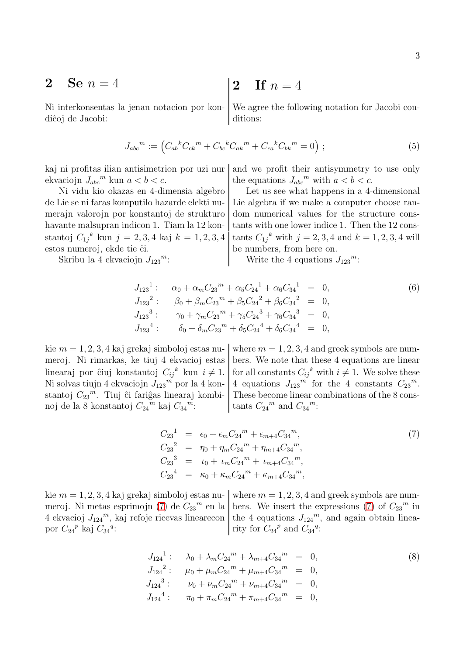$$
2 \quad \mathbf{Se}\, n=4
$$

diĉoj de Jacobi: ditions:

**2 5e** 
$$
n = 4
$$
 **2** If  $n = 4$ 

Ni interkonsentas la jenan notacion por kon- We agree the following notation for Jacobi con-

<span id="page-2-1"></span>
$$
J_{abc}{}^{m} := \left( C_{ab}{}^{k}C_{ck}{}^{m} + C_{bc}{}^{k}C_{ak}{}^{m} + C_{ca}{}^{k}C_{bk}{}^{m} = 0 \right) ; \tag{5}
$$

ekvaciojn  $J_{abc}^m$  kun  $a < b < c$ .

stantoj  $C_{1j}{}^k$  kun  $j = 2,3,4$  kaj  $k = 1,2,3,4$  tants  $C_{1j}$ estos numeroj, ekde tie ĉi. be numbers, from here on.

Skribu la 4 ekvaciojn  $J_{123}$ <sup>m</sup>:

kaj ni profitas ilian antisimetrion por uzi nur and we profit their antisymmetry to use only <sup>m</sup> kun  $a < b < c$ . the equations  $J_{abc}^m$  with  $a < b < c$ .

Ni vidu kio okazas en 4-dimensia algebro Let us see what happens in a 4-dimensional de Lie se ni faras komputilo hazarde elekti nu- Lie algebra if we make a computer choose ranmerajn valorojn por konstantoj de strukturo dom numerical values for the structure conshavante malsupran indicon 1. Tiam la  $12 \text{ kon-}$  tants with one lower indice 1. Then the  $12 \text{ cons-}$ tants  $C_{1j}^k$  with  $j = 2, 3, 4$  and  $k = 1, 2, 3, 4$  will

 $m$ : Write the 4 equations  $J_{123}$ <sup>m</sup>:

$$
J_{123}^{1} : \alpha_{0} + \alpha_{m} C_{23}^{m} + \alpha_{5} C_{24}^{1} + \alpha_{6} C_{34}^{1} = 0,
$$
  
\n
$$
J_{123}^{2} : \beta_{0} + \beta_{m} C_{23}^{m} + \beta_{5} C_{24}^{2} + \beta_{6} C_{34}^{2} = 0,
$$
  
\n
$$
J_{123}^{3} : \gamma_{0} + \gamma_{m} C_{23}^{m} + \gamma_{5} C_{24}^{3} + \gamma_{6} C_{34}^{3} = 0,
$$
  
\n
$$
J_{123}^{4} : \delta_{0} + \delta_{m} C_{23}^{m} + \delta_{5} C_{24}^{4} + \delta_{6} C_{34}^{4} = 0,
$$
  
\n(6)

linearaj por ĉiuj konstantoj  $C_{ij}{}^k$ Ni solvas tiujn 4 ekvaciojn  $J_{123}^{\phantom{1}}$  por la 4 konstantoj  $C_{23}^{\mu}$ . Tiuj ĉi fariĝas linearaj kombinoj de la 8 konstantoj  $C_{24}{}^m$  kaj  $C_{34}$ 

kie  $m = 1, 2, 3, 4$  kaj grekaj simboloj estas nu- where  $m = 1, 2, 3, 4$  and greek symbols are nummeroj. Ni rimarkas, ke tiuj 4 ekvacioj estas bers. We note that these 4 equations are linear kun  $i \neq 1$ . for all constants  $C_{ij}^k$  with  $i \neq 1$ . We solve these  $\binom{m}{1}$  por la 4 kon- 4 equations  $J_{123}$ <sup>m</sup> for the 4 constants  $C_{23}$ <sup>m</sup>. These become linear combinations of the 8 cons $m$ : tants  $C_{24}{}^m$  and  $C_{34}{}^m$ :

<span id="page-2-0"></span>
$$
C_{23}^{1} = \epsilon_0 + \epsilon_m C_{24}^{m} + \epsilon_{m+4} C_{34}^{m},
$$
  
\n
$$
C_{23}^{2} = \eta_0 + \eta_m C_{24}^{m} + \eta_{m+4} C_{34}^{m},
$$
  
\n
$$
C_{23}^{3} = \iota_0 + \iota_m C_{24}^{m} + \iota_{m+4} C_{34}^{m},
$$
  
\n
$$
C_{23}^{4} = \kappa_0 + \kappa_m C_{24}^{m} + \kappa_{m+4} C_{34}^{m},
$$
  
\n(7)

kie  $m = 1, 2, 3, 4$  kaj grekaj simboloj estas nu- where  $m = 1, 2, 3, 4$  and greek symbols are num-meroj. Ni metas esprimojn [\(7\)](#page-2-0) de  $C_{23}^m$  en la  $^m$  en la bers. We insert the expressions [\(7\)](#page-2-0) of  $C_{23}^m$  in 4 ekvacioj  $J_{124}^{\mu}$ , kaj refoje ricevas linearecon the 4 equations  $J_{124}^{\mu}$ , and again obtain lineapor  $C_{24}{}^p$  kaj  $C_{34}{}^q$ :  $\vert$  rity for  $C_{24}{}^p$  and  $C_{34}{}^q$ :

$$
J_{124}^{1} : \quad \lambda_0 + \lambda_m C_{24}^{m} + \lambda_{m+4} C_{34}^{m} = 0,
$$
  
\n
$$
J_{124}^{2} : \quad \mu_0 + \mu_m C_{24}^{m} + \mu_{m+4} C_{34}^{m} = 0,
$$
  
\n
$$
J_{124}^{3} : \quad \nu_0 + \nu_m C_{24}^{m} + \nu_{m+4} C_{34}^{m} = 0,
$$
  
\n
$$
J_{124}^{4} : \quad \pi_0 + \pi_m C_{24}^{m} + \pi_{m+4} C_{34}^{m} = 0,
$$
  
\n(8)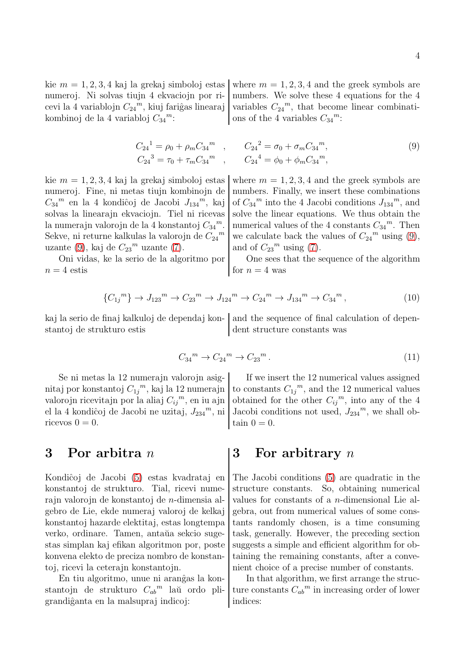kie  $m = 1, 2, 3, 4$  kaj la grekaj simboloj estas where  $m = 1, 2, 3, 4$  and the greek symbols are cevi la 4 variablojn  $C_{24}^{\phantom{24}m}$ , kiuj fariĝas linearaj  $\vert$  variables  $C_{24}$ kombinoj de la 4 variabloj  $C_{34}^m$ :

numeroj. Ni solvas tiujn 4 ekvaciojn por ri- | numbers. We solve these 4 equations for the 4 variables  $C_{24}^m$ , that become linear combinati-<sup>m</sup>: ons of the 4 variables  $C_{34}^m$ :

<span id="page-3-0"></span>
$$
C_{24}^{1} = \rho_0 + \rho_m C_{34}^{m} , \qquad C_{24}^{2} = \sigma_0 + \sigma_m C_{34}^{m} ,
$$
  
\n
$$
C_{24}^{3} = \tau_0 + \tau_m C_{34}^{m} , \qquad C_{24}^{4} = \phi_0 + \phi_m C_{34}^{m} ,
$$
  
\n(9)

 $C_{34}^{\mu}$  en la 4 kondiĉoj de Jacobi  $J_{134}$ la numerajn valorojn de la 4 konstantoj  $C_{34}{}^m$ Sekve, ni returne kalkulas la valorojn de  $C_{24}{}^m$ uzante [\(9\)](#page-3-0), kaj de  $C_{23}$ <sup>m</sup> uzante [\(7\)](#page-2-0).  $\boxed{\text{and of } C_{23}}$ 

 $n = 4$  estis for  $n = 4$  was

kie  $m = 1, 2, 3, 4$  kaj la grekaj simboloj estas where  $m = 1, 2, 3, 4$  and the greek symbols are numeroj. Fine, ni metas tiujn kombinojn de | numbers. Finally, we insert these combinations  $\binom{m}{1}$ , kaj of  $C_{34}$ <sup>m</sup> into the 4 Jacobi conditions  $J_{134}$ <sup>m</sup>, and solvas la linearajn ekvaciojn. Tiel ni ricevas solve the linear equations. We thus obtain the <sup>m</sup>. numerical values of the 4 constants  $C_{34}^{\{m\}}$ . Then  $\binom{m}{m}$  we calculate back the values of  $C_{24}^m$  using [\(9\)](#page-3-0), and of  $C_{23}$ <sup>m</sup> using [\(7\)](#page-2-0).

Oni vidas, ke la serio de la algoritmo por  $\vert$  One sees that the sequence of the algorithm

$$
\{C_{1j}^{m}\}\to J_{123}^{m}\to C_{23}^{m}\to J_{124}^{m}\to C_{24}^{m}\to J_{134}^{m}\to C_{34}^{m},\tag{10}
$$

stantoj de strukturo estis dent structure constants was

kaj la serio de finaj kalkuloj de dependaj kon- and the sequence of final calculation of depen-

$$
C_{34}^m \to C_{24}^m \to C_{23}^m. \tag{11}
$$

nitaj por konstantoj  $C_{1j}^{\,m}$ , kaj la 12 numerajn  $\big|$  to constants  $C_{1j}$ valorojn ricevitajn por la aliaj $C_{ij}^{\ \ m} ,$ en iu ajn el la 4 kondiĉoj de Jacobi ne uzitaj,  $J_{234}$ <sup>m</sup>, ni ricevos  $0 = 0$ . tain  $0 = 0$ .

stantojn de strukturo  $C_{ab}^m$  laŭ ordo pligrandiĝanta en la malsupraj indicoj: | indices:

Se ni metas la 12 numerajn valorojn asig- If we insert the 12 numerical values assigned to constants  $C_{1j}^m$ , and the 12 numerical values  $m$ , en iu ajn obtained for the other  $C_{ij}^m$ , into any of the 4  $\frac{m}{m}$ , ni Jacobi conditions not used,  $J_{234}^{\{m}}$ , we shall ob-

### 3 Por arbitra n  $\vert 3 \vert$  For arbitrary n

Kondiĉoj de Jacobi [\(5\)](#page-2-1) estas kvadrataj en The Jacobi conditions (5) are quadratic in the konstantoj de strukturo. Tial, ricevi nume- structure constants. So, obtaining numerical rajn valorojn de konstantoj de n-dimensia al- values for constants of a n-dimensional Lie algebro de Lie, ekde numeraj valoroj de kelkaj gebra, out from numerical values of some conskonstantoj hazarde elektitaj, estas longtempa tants randomly chosen, is a time consuming verko, ordinare. Tamen, antaŭa sekcio suge- task, generally. However, the preceding section stas simplan kaj efikan algoritmon por, poste suggests a simple and efficient algorithm for obkonvena elekto de preciza nombro de konstan- taining the remaining constants, after a convetoj, ricevi la ceterajn konstantojn. nient choice of a precise number of constants.

En tiu algoritmo, unue ni aranĝas la kon- $\vert$  In that algorithm, we first arrange the struc-<sup>m</sup> laŭ ordo pli- ture constants  $C_{ab}^m$  in increasing order of lower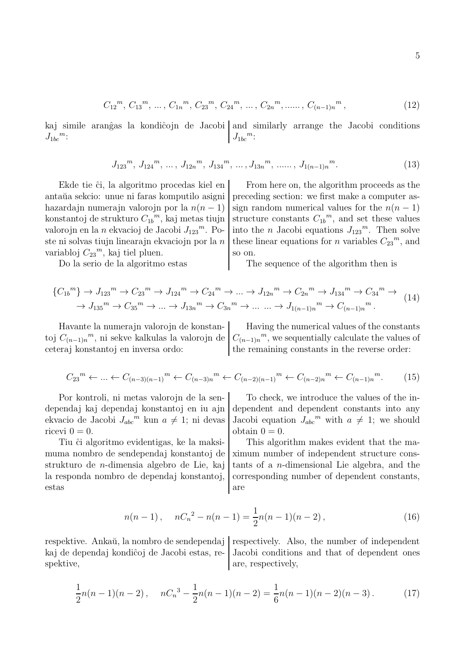$$
C_{12}^m, C_{13}^m, \ldots, C_{1n}^m, C_{23}^m, C_{24}^m, \ldots, C_{2n}^m, \ldots, C_{(n-1)n}^m,
$$
 (12)

kaj simile aranĝas la kondiĉojn de Jacobi and similarly arrange the Jacobi conditions  $J_{1bc}^{\qquad m}$ :  $m$ .  $J_{1bc}$  $J_{1bc}^m$ :

$$
J_{123}^{\,m}, J_{124}^{\,m}, \ldots, J_{12n}^{\,m}, J_{134}^{\,m}, \ldots, J_{13n}^{\,m}, \ldots, J_{1(n-1)n}^{\,m}.\tag{13}
$$

konstantoj de strukturo  $C_{1b}^m$ , kaj metas tiujn valorojn en la n ekvacioj de Jacobi $J_{123}{}^m$ . Poste ni solvas tiujn linearajn ekvaciojn por la  $n$ variabloj  $C_{23}^m$ , kaj tiel pluen.  $\Big|$  so on.

Ekde tie ĉi, la algoritmo procedas kiel en  $\vert$  From here on, the algorithm proceeds as the antaŭa sekcio: unue ni faras komputilo asigni preceding section: we first make a computer ashazardajn numerajn valorojn por la  $n(n-1)$  sign random numerical values for the  $n(n-1)$ <sup>m</sup>, kaj metas tiujn structure constants  $C_{1b}^m$ , and set these values <sup>m</sup>. Po- into the *n* Jacobi equations  $J_{123}$ <sup>m</sup>. Then solve these linear equations for *n* variables  $C_{23}^m$ , and

Do la serio de la algoritmo estas The sequence of the algorithm then is

$$
\{C_{1b}^{m}\} \to J_{123}^{m} \to C_{23}^{m} \to J_{124}^{m} \to C_{24}^{m} \to \dots \to J_{12n}^{m} \to C_{2n}^{m} \to J_{134}^{m} \to C_{34}^{m} \to \dots
$$
  

$$
\to J_{135}^{m} \to C_{35}^{m} \to \dots \to J_{13n}^{m} \to C_{3n}^{m} \to \dots \to J_{1(n-1)n}^{m} \to C_{(n-1)n}^{m}.
$$
 (14)

Havante la numerajn valorojn de konstan- Having the numerical values of the constants toj  $C_{(n-1)n}^{\{m\}}$ , ni sekve kalkulas la valorojn de  $\big| C_{(n-1)n}^{\{m\}}$ , we sequentially calculate the values of ceteraj konstantoj en inversa ordo: the remaining constants in the reverse order:

 $C_{23}^m \leftarrow \dots \leftarrow C_{(n-3)(n-1)}^m \leftarrow C_{(n-3)n}^m \leftarrow C_{(n-2)(n-1)}^m \leftarrow C_{(n-2)n}^m \leftarrow C_{(n-1)n}^m$  $(15)$ 

ekvacio de Jacobi  $J_{abc}^{\qquad m}$  kun  $a \neq 1$ ; ni devas Jacobi equation  $J_{abc}$ ricevi  $0 = 0$ .

estas are are all a set as a set as  $\alpha$ 

Por kontroli, ni metas valorojn de la sen- To check, we introduce the values of the independaj kaj dependaj konstantoj en iu ajn dependent and dependent constants into any Jacobi equation  $J_{abc}^{\bullet m}$  with  $a \neq 1$ ; we should

Tiu ĉi algoritmo evidentigas, ke la maksi- This algorithm makes evident that the mamuma nombro de sendependaj konstantoj de  $\frac{1}{x}$ ximum number of independent structure consstrukturo de *n*-dimensia algebro de Lie, kaj tants of a *n*-dimensional Lie algebra, and the la responda nombro de dependaj konstantoj, corresponding number of dependent constants,

$$
n(n-1), \quad nC_n^2 - n(n-1) = \frac{1}{2}n(n-1)(n-2), \tag{16}
$$

respektive. Ankaŭ, la nombro de sendependaj respectively. Also, the number of independent kaj de dependaj kondiĉoj de Jacobi estas, re- Jacobi conditions and that of dependent ones spektive, are, respectively,

$$
\frac{1}{2}n(n-1)(n-2), \quad nC_n^3 - \frac{1}{2}n(n-1)(n-2) = \frac{1}{6}n(n-1)(n-2)(n-3). \tag{17}
$$